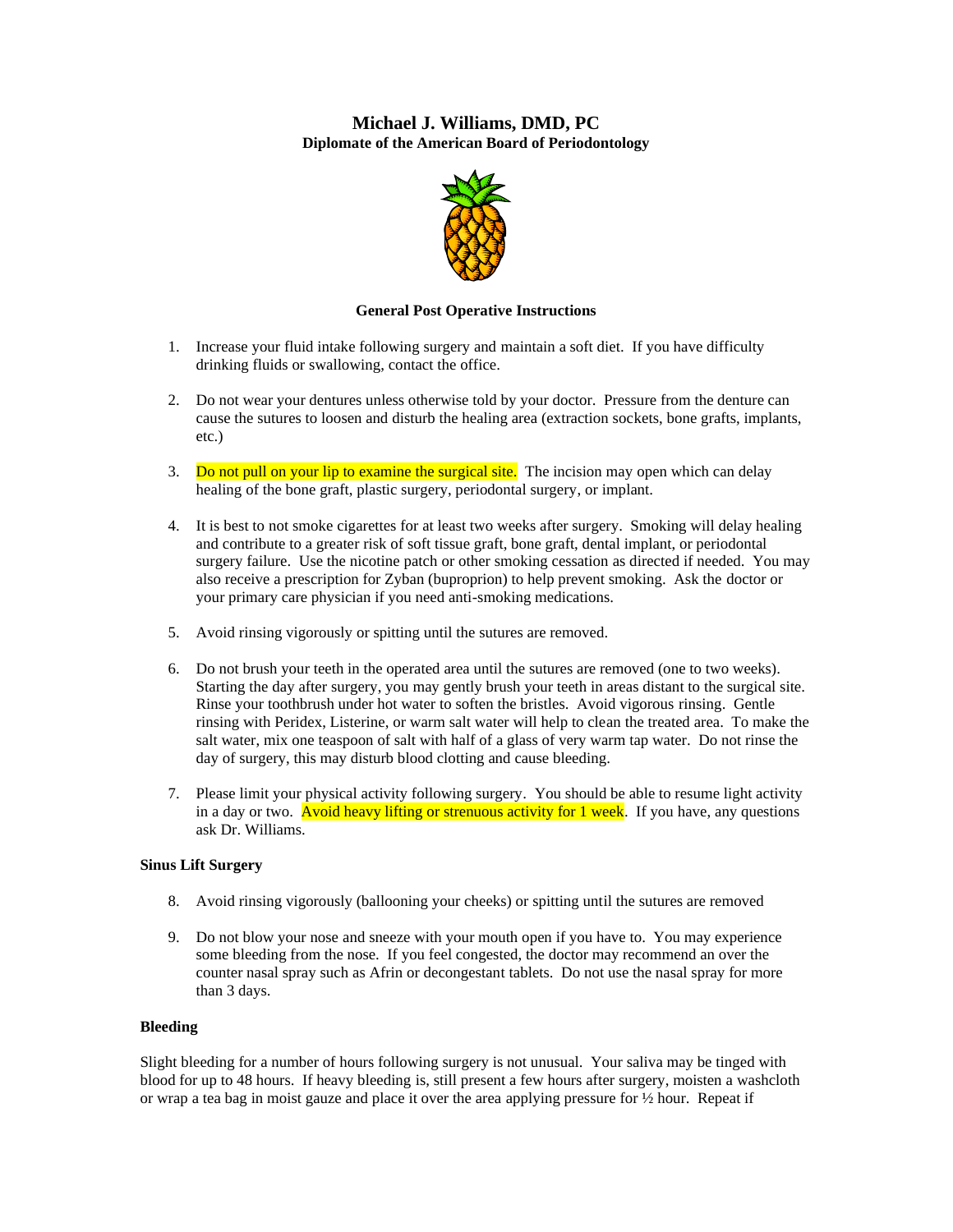# **Michael J. Williams, DMD, PC Diplomate of the American Board of Periodontology**



# **General Post Operative Instructions**

- 1. Increase your fluid intake following surgery and maintain a soft diet. If you have difficulty drinking fluids or swallowing, contact the office.
- 2. Do not wear your dentures unless otherwise told by your doctor. Pressure from the denture can cause the sutures to loosen and disturb the healing area (extraction sockets, bone grafts, implants, etc.)
- 3. Do not pull on your lip to examine the surgical site. The incision may open which can delay healing of the bone graft, plastic surgery, periodontal surgery, or implant.
- 4. It is best to not smoke cigarettes for at least two weeks after surgery. Smoking will delay healing and contribute to a greater risk of soft tissue graft, bone graft, dental implant, or periodontal surgery failure. Use the nicotine patch or other smoking cessation as directed if needed. You may also receive a prescription for Zyban (buproprion) to help prevent smoking. Ask the doctor or your primary care physician if you need anti-smoking medications.
- 5. Avoid rinsing vigorously or spitting until the sutures are removed.
- 6. Do not brush your teeth in the operated area until the sutures are removed (one to two weeks). Starting the day after surgery, you may gently brush your teeth in areas distant to the surgical site. Rinse your toothbrush under hot water to soften the bristles. Avoid vigorous rinsing. Gentle rinsing with Peridex, Listerine, or warm salt water will help to clean the treated area. To make the salt water, mix one teaspoon of salt with half of a glass of very warm tap water. Do not rinse the day of surgery, this may disturb blood clotting and cause bleeding.
- 7. Please limit your physical activity following surgery. You should be able to resume light activity in a day or two. Avoid heavy lifting or strenuous activity for  $1$  week. If you have, any questions ask Dr. Williams.

# **Sinus Lift Surgery**

- 8. Avoid rinsing vigorously (ballooning your cheeks) or spitting until the sutures are removed
- 9. Do not blow your nose and sneeze with your mouth open if you have to. You may experience some bleeding from the nose. If you feel congested, the doctor may recommend an over the counter nasal spray such as Afrin or decongestant tablets. Do not use the nasal spray for more than 3 days.

## **Bleeding**

Slight bleeding for a number of hours following surgery is not unusual. Your saliva may be tinged with blood for up to 48 hours. If heavy bleeding is, still present a few hours after surgery, moisten a washcloth or wrap a tea bag in moist gauze and place it over the area applying pressure for  $\frac{1}{2}$  hour. Repeat if